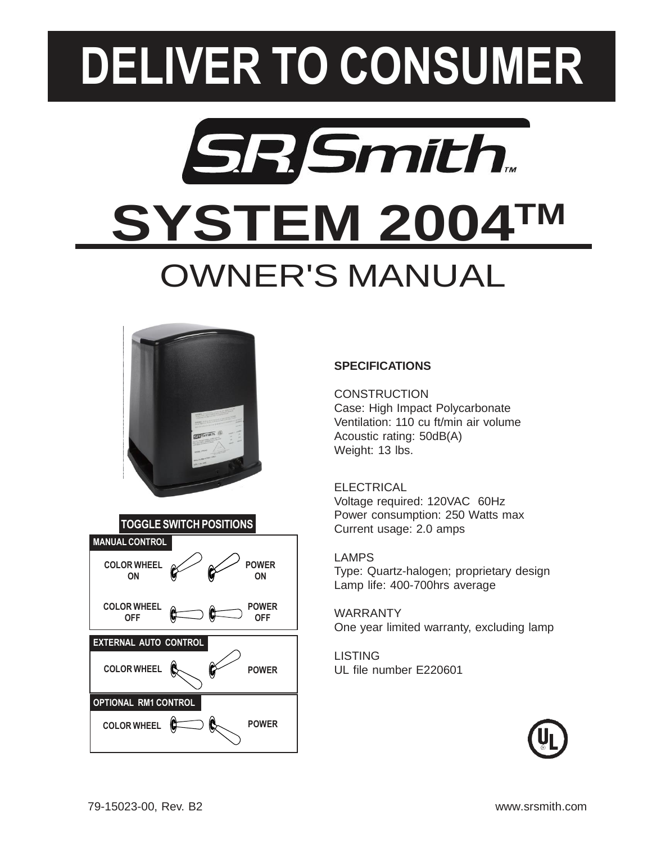# **DELIVER TO CONSUMER**

## **SR Smith SYSTEM 2004TM** OWNER'S MANUAL





### **SPECIFICATIONS**

**CONSTRUCTION** Case: High Impact Polycarbonate Ventilation: 110 cu ft/min air volume Acoustic rating: 50dB(A) Weight: 13 lbs.

ELECTRICAL Voltage required: 120VAC 60Hz Power consumption: 250 Watts max Current usage: 2.0 amps

Type: Quartz-halogen; proprietary design Lamp life: 400-700hrs average

WARRANTY One year limited warranty, excluding lamp

LISTING UL file number E220601